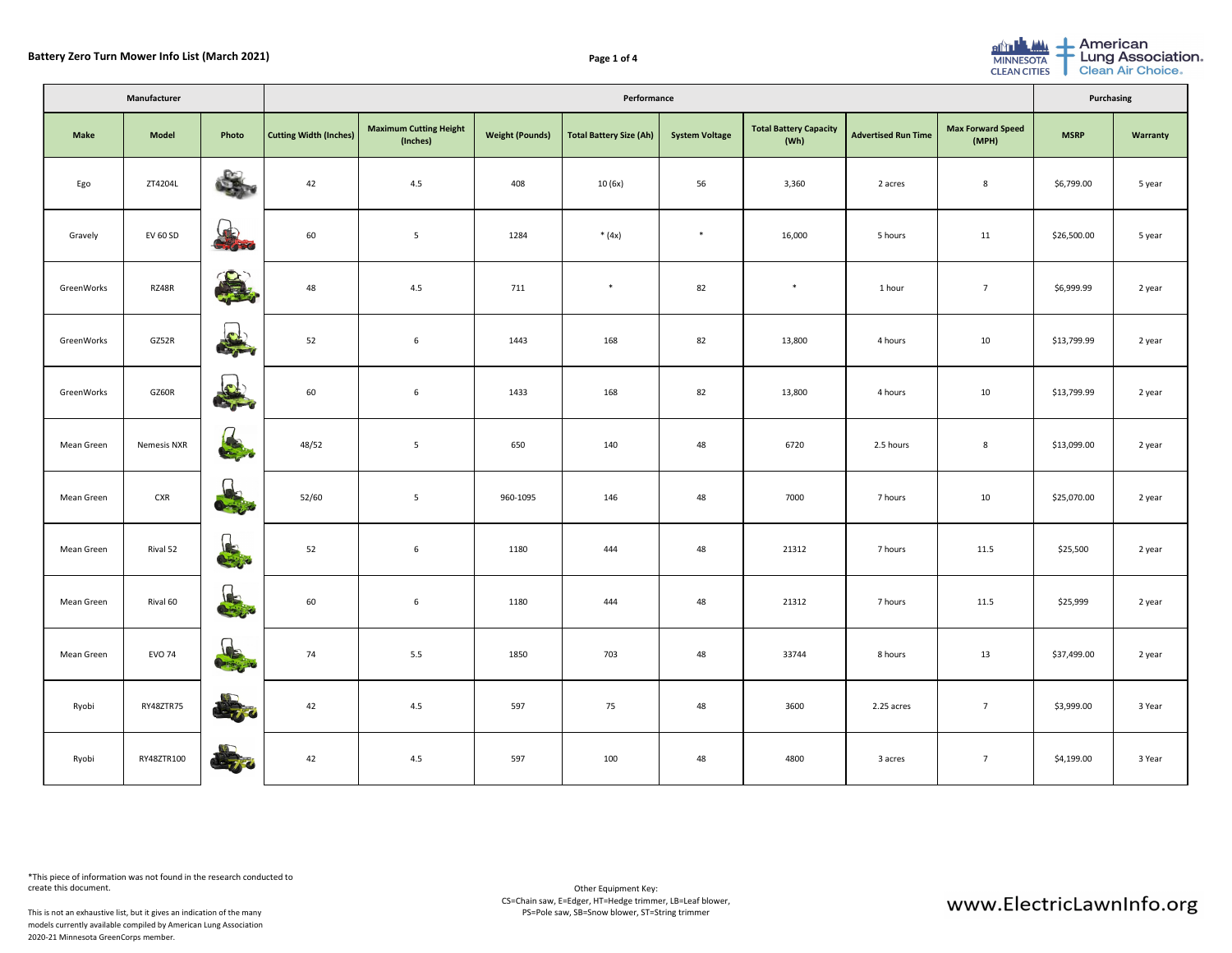| Manufacturer      |                    |                                     | Performance                   |                                           |                        |                         |                       |                                       |                            |                                   |             | Purchasing      |  |
|-------------------|--------------------|-------------------------------------|-------------------------------|-------------------------------------------|------------------------|-------------------------|-----------------------|---------------------------------------|----------------------------|-----------------------------------|-------------|-----------------|--|
| <b>Make</b>       | <b>Model</b>       | Photo                               | <b>Cutting Width (Inches)</b> | <b>Maximum Cutting Height</b><br>(Inches) | <b>Weight (Pounds)</b> | Total Battery Size (Ah) | <b>System Voltage</b> | <b>Total Battery Capacity</b><br>(Wh) | <b>Advertised Run Time</b> | <b>Max Forward Speed</b><br>(MPH) | <b>MSRP</b> | <b>Warranty</b> |  |
| Ego               | ZT4204L            | <b>RED</b>                          | 42                            | 4.5                                       | 408                    | 10 (6x)                 | 56                    | 3,360                                 | 2 acres                    | 8                                 | \$6,799.00  | 5 year          |  |
| Gravely           | <b>EV 60 SD</b>    | J<br>Choro                          | 60                            | 5                                         | 1284                   | * $(4x)$                | $\ast$                | 16,000                                | 5 hours                    | 11                                | \$26,500.00 | 5 year          |  |
| GreenWorks        | RZ48R              | 全                                   | 48                            | 4.5                                       | 711                    | $\ast$                  | 82                    | $\ast$                                | 1 hour                     | $\overline{7}$                    | \$6,999.99  | 2 year          |  |
| GreenWorks        | GZ52R              |                                     | 52                            | $6\overline{6}$                           | 1443                   | 168                     | 82                    | 13,800                                | 4 hours                    | 10                                | \$13,799.99 | 2 year          |  |
| GreenWorks        | GZ60R              |                                     | 60                            | $6\overline{6}$                           | 1433                   | 168                     | 82                    | 13,800                                | 4 hours                    | 10                                | \$13,799.99 | 2 year          |  |
| <b>Mean Green</b> | <b>Nemesis NXR</b> | $\bigcap$<br><b>CALL OF CALL OF</b> | 48/52                         | 5                                         | 650                    | 140                     | 48                    | 6720                                  | 2.5 hours                  | 8                                 | \$13,099.00 | 2 year          |  |
| <b>Mean Green</b> | <b>CXR</b>         | $0 - \epsilon$                      | 52/60                         | $5\phantom{.0}$                           | 960-1095               | 146                     | 48                    | 7000                                  | 7 hours                    | 10                                | \$25,070.00 | 2 year          |  |
| <b>Mean Green</b> | Rival 52           | 63                                  | 52                            | $6\overline{6}$                           | 1180                   | 444                     | 48                    | 21312                                 | 7 hours                    | 11.5                              | \$25,500    | 2 year          |  |
| <b>Mean Green</b> | Rival 60           | 8                                   | 60                            | $6\overline{6}$                           | 1180                   | 444                     | 48                    | 21312                                 | 7 hours                    | 11.5                              | \$25,999    | 2 year          |  |
| <b>Mean Green</b> | <b>EVO 74</b>      | $\frac{1}{2}$                       | 74                            | 5.5                                       | 1850                   | 703                     | 48                    | 33744                                 | 8 hours                    | 13                                | \$37,499.00 | 2 year          |  |
| Ryobi             | RY48ZTR75          | de gro                              | 42                            | 4.5                                       | 597                    | 75                      | 48                    | 3600                                  | 2.25 acres                 | $\overline{7}$                    | \$3,999.00  | 3 Year          |  |
| Ryobi             | RY48ZTR100         | <b>CEUTO</b>                        | 42                            | 4.5                                       | 597                    | 100                     | 48                    | 4800                                  | 3 acres                    | $\overline{7}$                    | \$4,199.00  | 3 Year          |  |

This is not an exhaustive list, but it gives an indication of the many models currently available compiled by American Lung Association 2020-21 Minnesota GreenCorps member.



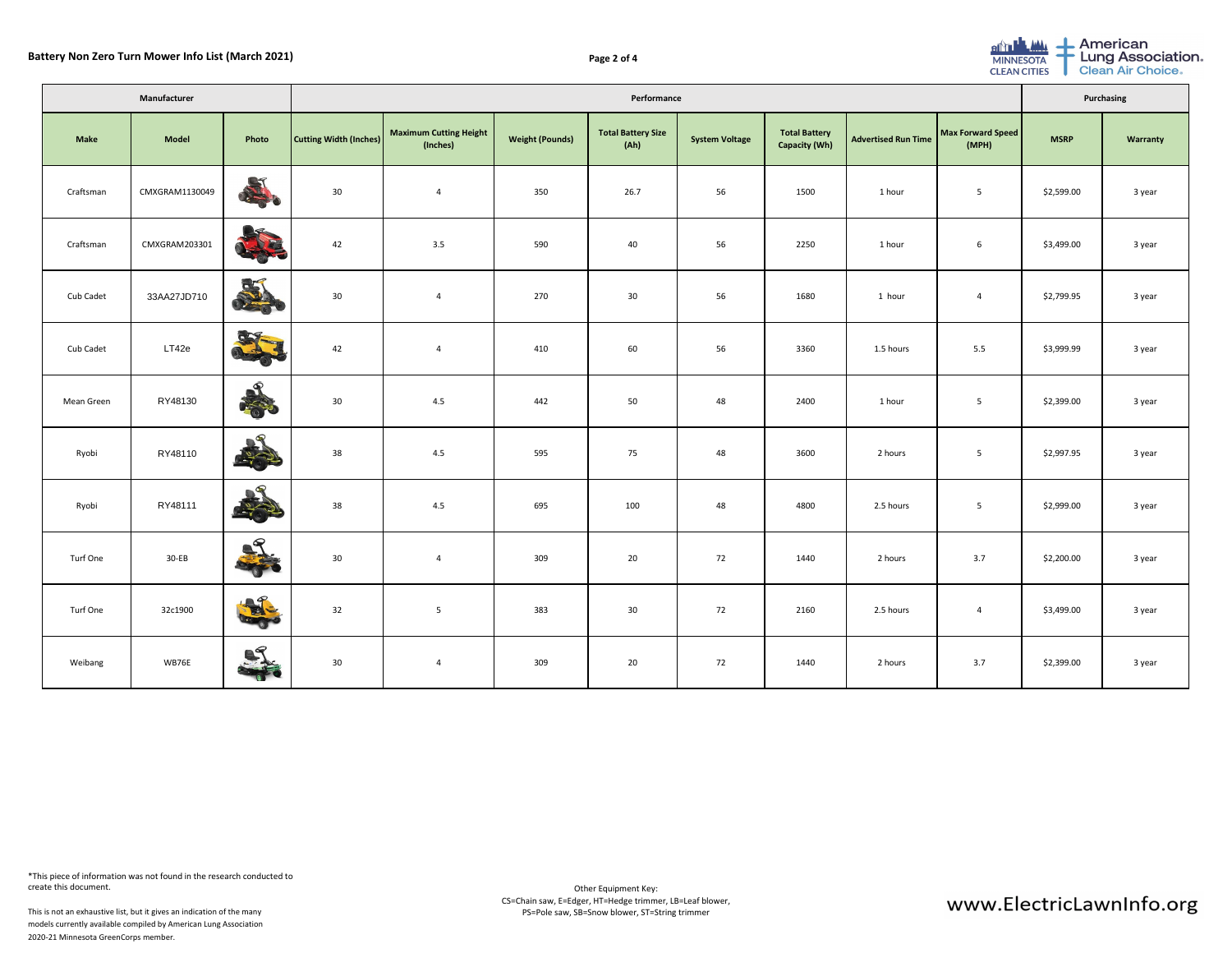|                   | Manufacturer   |                                                                                                                                                                                                                                            | Performance                   |                                           |                        |                                   |                       |                                              |                            |                            |             | Purchasing      |  |
|-------------------|----------------|--------------------------------------------------------------------------------------------------------------------------------------------------------------------------------------------------------------------------------------------|-------------------------------|-------------------------------------------|------------------------|-----------------------------------|-----------------------|----------------------------------------------|----------------------------|----------------------------|-------------|-----------------|--|
| <b>Make</b>       | <b>Model</b>   | Photo                                                                                                                                                                                                                                      | <b>Cutting Width (Inches)</b> | <b>Maximum Cutting Height</b><br>(Inches) | <b>Weight (Pounds)</b> | <b>Total Battery Size</b><br>(Ah) | <b>System Voltage</b> | <b>Total Battery</b><br><b>Capacity (Wh)</b> | <b>Advertised Run Time</b> | Max Forward Speed<br>(MPH) | <b>MSRP</b> | <b>Warranty</b> |  |
| Craftsman         | CMXGRAM1130049 | QT<br><b>Contract Contract Contract Contract Contract Contract Contract Contract Contract Contract Contract Contract Contract Contract Contract Contract Contract Contract Contract Contract Contract Contract Contract Contract Contr</b> | 30 <sup>°</sup>               | $\overline{a}$                            | 350                    | 26.7                              | 56                    | 1500                                         | 1 hour                     | $5\overline{)}$            | \$2,599.00  | 3 year          |  |
| Craftsman         | CMXGRAM203301  | R                                                                                                                                                                                                                                          | 42                            | 3.5                                       | 590                    | 40                                | 56                    | 2250                                         | 1 hour                     | 6                          | \$3,499.00  | 3 year          |  |
| Cub Cadet         | 33AA27JD710    | 55<br><b>READ</b>                                                                                                                                                                                                                          | 30 <sup>°</sup>               | $\overline{4}$                            | 270                    | 30                                | 56                    | 1680                                         | 1 hour                     | 4                          | \$2,799.95  | 3 year          |  |
| Cub Cadet         | LT42e          | arg.                                                                                                                                                                                                                                       | 42                            | $\overline{4}$                            | 410                    | 60                                | 56                    | 3360                                         | 1.5 hours                  | 5.5                        | \$3,999.99  | 3 year          |  |
| <b>Mean Green</b> | RY48130        | $\bullet$<br>CENTER !                                                                                                                                                                                                                      | 30 <sup>°</sup>               | 4.5                                       | 442                    | 50                                | 48                    | 2400                                         | 1 hour                     | 5 <sub>5</sub>             | \$2,399.00  | 3 year          |  |
| Ryobi             | RY48110        | $\mathcal{S}_{\mathbb{Z}}$                                                                                                                                                                                                                 | 38                            | 4.5                                       | 595                    | 75                                | 48                    | 3600                                         | 2 hours                    | $5\overline{)}$            | \$2,997.95  | 3 year          |  |
| Ryobi             | RY48111        | $\bullet$<br>370                                                                                                                                                                                                                           | 38                            | 4.5                                       | 695                    | 100                               | 48                    | 4800                                         | 2.5 hours                  | $5\overline{)}$            | \$2,999.00  | 3 year          |  |
| <b>Turf One</b>   | $30-EB$        | $\mathbf{Q}$<br><b>TANK</b>                                                                                                                                                                                                                | 30                            | $\overline{4}$                            | 309                    | 20                                | 72                    | 1440                                         | 2 hours                    | 3.7                        | \$2,200.00  | 3 year          |  |
| <b>Turf One</b>   | 32c1900        | $\mathbb{R}^{\mathcal{P}}$<br><b>CERS</b>                                                                                                                                                                                                  | 32                            | $5\overline{)}$                           | 383                    | 30                                | 72                    | 2160                                         | 2.5 hours                  | $\overline{4}$             | \$3,499.00  | 3 year          |  |
| Weibang           | WB76E          | R                                                                                                                                                                                                                                          | 30                            | $\overline{4}$                            | 309                    | 20                                | 72                    | 1440                                         | 2 hours                    | 3.7                        | \$2,399.00  | 3 year          |  |

This is not an exhaustive list, but it gives an indication of the many models currently available compiled by American Lung Association 2020-21 Minnesota GreenCorps member.



Lung Association.<br>Clean Air Choice.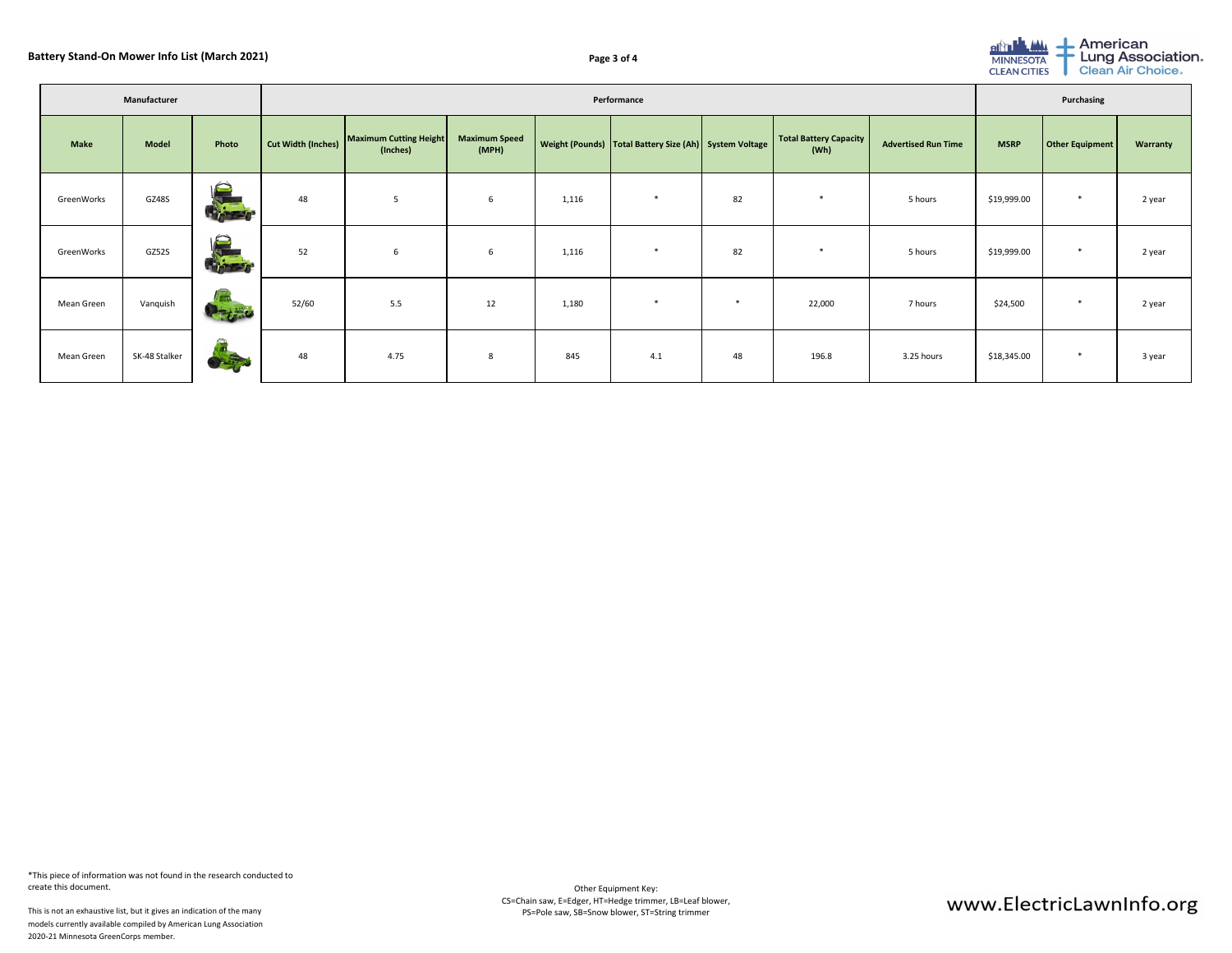| ٦<br>۰,<br>$\overline{\phantom{a}}$<br>. . |
|--------------------------------------------|
|--------------------------------------------|

| Manufacturer      |               |                               | Performance               |                                    |                               |       |                                                            |        |                                |                            |             | Purchasing      |                 |  |  |
|-------------------|---------------|-------------------------------|---------------------------|------------------------------------|-------------------------------|-------|------------------------------------------------------------|--------|--------------------------------|----------------------------|-------------|-----------------|-----------------|--|--|
| <b>Make</b>       | <b>Model</b>  | Photo                         | <b>Cut Width (Inches)</b> | Maximum Cutting Height<br>(Inches) | <b>Maximum Speed</b><br>(MPH) |       | Weight (Pounds)   Total Battery Size (Ah)   System Voltage |        | Total Battery Capacity<br>(Wh) | <b>Advertised Run Time</b> | <b>MSRP</b> | Other Equipment | <b>Warranty</b> |  |  |
| GreenWorks        | GZ48S         | $\bigodot$<br><b>REFERED</b>  | 48                        | 5                                  | $6\overline{6}$               | 1,116 | ∗                                                          | 82     | $\ast$                         | 5 hours                    | \$19,999.00 | ∗               | 2 year          |  |  |
| GreenWorks        | GZ52S         | $\bigodot$<br><b>Liter</b>    | 52                        | $6\overline{6}$                    | $6\overline{6}$               | 1,116 | ∗                                                          | 82     | $\ast$                         | 5 hours                    | \$19,999.00 | ∗               | 2 year          |  |  |
| Mean Green        | Vanquish      | $\bullet$ $\bullet$ $\bullet$ | 52/60                     | 5.5                                | 12                            | 1,180 | ∗                                                          | $\ast$ | 22,000                         | 7 hours                    | \$24,500    | ∗               | 2 year          |  |  |
| <b>Mean Green</b> | SK-48 Stalker | m<br>PASSES.                  | 48                        | 4.75                               | $8\phantom{1}$                | 845   | 4.1                                                        | 48     | 196.8                          | 3.25 hours                 | \$18,345.00 | $\ast$          | 3 year          |  |  |

This is not an exhaustive list, but it gives an indication of the many models currently available compiled by American Lung Association 2020-21 Minnesota GreenCorps member.